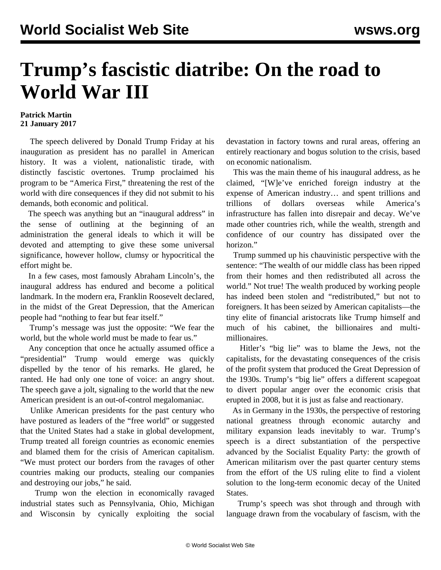## **Trump's fascistic diatribe: On the road to World War III**

## **Patrick Martin 21 January 2017**

 The speech delivered by Donald Trump Friday at his inauguration as president has no parallel in American history. It was a violent, nationalistic tirade, with distinctly fascistic overtones. Trump proclaimed his program to be "America First," threatening the rest of the world with dire consequences if they did not submit to his demands, both economic and political.

 The speech was anything but an "inaugural address" in the sense of outlining at the beginning of an administration the general ideals to which it will be devoted and attempting to give these some universal significance, however hollow, clumsy or hypocritical the effort might be.

 In a few cases, most famously Abraham Lincoln's, the inaugural address has endured and become a political landmark. In the modern era, Franklin Roosevelt declared, in the midst of the Great Depression, that the American people had "nothing to fear but fear itself."

 Trump's message was just the opposite: "We fear the world, but the whole world must be made to fear us."

 Any conception that once he actually assumed office a "presidential" Trump would emerge was quickly dispelled by the tenor of his remarks. He glared, he ranted. He had only one tone of voice: an angry shout. The speech gave a jolt, signaling to the world that the new American president is an out-of-control megalomaniac.

 Unlike American presidents for the past century who have postured as leaders of the "free world" or suggested that the United States had a stake in global development, Trump treated all foreign countries as economic enemies and blamed them for the crisis of American capitalism. "We must protect our borders from the ravages of other countries making our products, stealing our companies and destroying our jobs," he said.

 Trump won the election in economically ravaged industrial states such as Pennsylvania, Ohio, Michigan and Wisconsin by cynically exploiting the social

devastation in factory towns and rural areas, offering an entirely reactionary and bogus solution to the crisis, based on economic nationalism.

 This was the main theme of his inaugural address, as he claimed, "[W]e've enriched foreign industry at the expense of American industry… and spent trillions and trillions of dollars overseas while America's infrastructure has fallen into disrepair and decay. We've made other countries rich, while the wealth, strength and confidence of our country has dissipated over the horizon."

 Trump summed up his chauvinistic perspective with the sentence: "The wealth of our middle class has been ripped from their homes and then redistributed all across the world." Not true! The wealth produced by working people has indeed been stolen and "redistributed," but not to foreigners. It has been seized by American capitalists—the tiny elite of financial aristocrats like Trump himself and much of his cabinet, the billionaires and multimillionaires.

 Hitler's "big lie" was to blame the Jews, not the capitalists, for the devastating consequences of the crisis of the profit system that produced the Great Depression of the 1930s. Trump's "big lie" offers a different scapegoat to divert popular anger over the economic crisis that erupted in 2008, but it is just as false and reactionary.

 As in Germany in the 1930s, the perspective of restoring national greatness through economic autarchy and military expansion leads inevitably to war. Trump's speech is a direct substantiation of the perspective advanced by the Socialist Equality Party: the growth of American militarism over the past quarter century stems from the effort of the US ruling elite to find a violent solution to the long-term economic decay of the United States.

 Trump's speech was shot through and through with language drawn from the vocabulary of fascism, with the